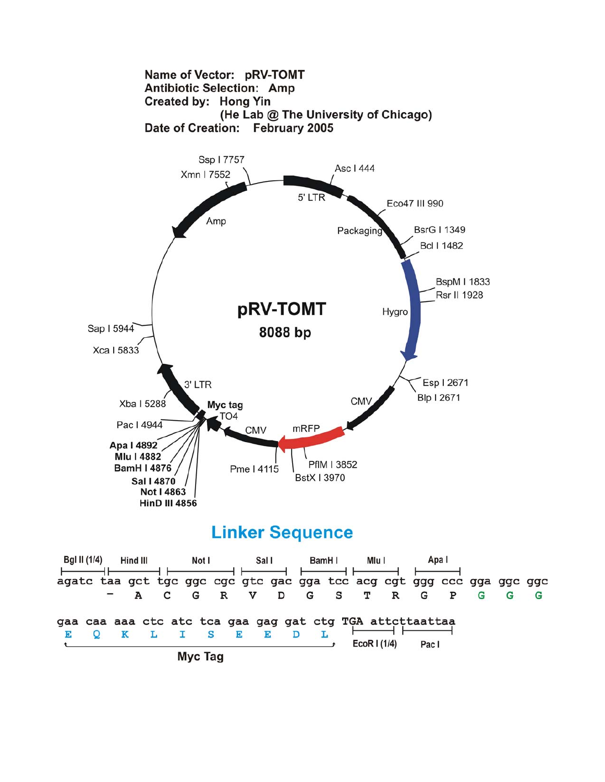



Myc Tag

⊢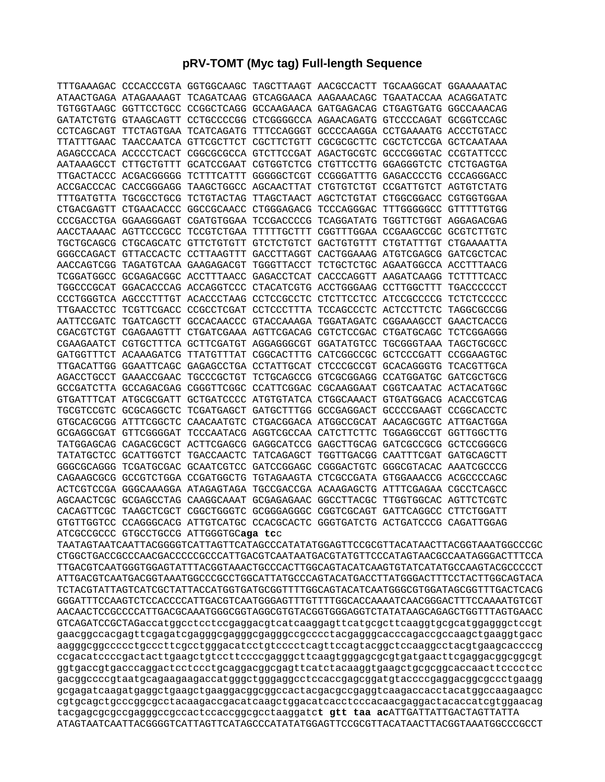## **pRV-TOMT (Myc tag) Full-length Sequence**

|                                        | TTTGAAAGAC CCCACCCGTA GGTGGCAAGC TAGCTTAAGT AACGCCACTT TGCAAGGCAT GGAAAAATAC |  |  |
|----------------------------------------|------------------------------------------------------------------------------|--|--|
|                                        | ATAACTGAGA ATAGAAAAGT TCAGATCAAG GTCAGGAACA AAGAAACAGC TGAATACCAA ACAGGATATC |  |  |
|                                        | TGTGGTAAGC GGTTCCTGCC CCGGCTCAGG GCCAAGAACA GATGAGACAG CTGAGTGATG GGCCAAACAG |  |  |
|                                        | GATATCTGTG GTAAGCAGTT CCTGCCCCGG CTCGGGGCCA AGAACAGATG GTCCCCAGAT GCGGTCCAGC |  |  |
|                                        | CCTCAGCAGT TTCTAGTGAA TCATCAGATG TTTCCAGGGT GCCCCAAGGA CCTGAAAATG ACCCTGTACC |  |  |
|                                        | TTATTTGAAC TAACCAATCA GTTCGCTTCT CGCTTCTGTT CGCGCGCTTC CGCTCTCCGA GCTCAATAAA |  |  |
|                                        | AGAGCCCACA ACCCCTCACT CGGCGCGCCA GTCTTCCGAT AGACTGCGTC GCCCGGGTAC CCGTATTCCC |  |  |
|                                        | AATAAAGCCT CTTGCTGTTT GCATCCGAAT CGTGGTCTCG CTGTTCCTTG GGAGGGTCTC CTCTGAGTGA |  |  |
|                                        | TTGACTACCC ACGACGGGGG TCTTTCATTT GGGGGCTCGT CCGGGATTTG GAGACCCCTG CCCAGGGACC |  |  |
|                                        | ACCGACCCAC CACCGGGAGG TAAGCTGGCC AGCAACTTAT CTGTGTCTGT CCGATTGTCT AGTGTCTATG |  |  |
|                                        | TTTGATGTTA TGCGCCTGCG TCTGTACTAG TTAGCTAACT AGCTCTGTAT CTGGCGGACC CGTGGTGGAA |  |  |
|                                        | CTGACGAGTT CTGAACACCC GGCCGCAACC CTGGGAGACG TCCCAGGGAC TTTGGGGGCC GTTTTTGTGG |  |  |
|                                        | CCCGACCTGA GGAAGGGAGT CGATGTGGAA TCCGACCCCG TCAGGATATG TGGTTCTGGT AGGAGACGAG |  |  |
|                                        | AACCTAAAAC AGTTCCCGCC TCCGTCTGAA TTTTTGCTTT CGGTTTGGAA CCGAAGCCGC GCGTCTTGTC |  |  |
|                                        | TGCTGCAGCG CTGCAGCATC GTTCTGTGTT GTCTCTGTCT GACTGTGTTT CTGTATTTGT CTGAAAATTA |  |  |
|                                        | GGGCCAGACT GTTACCACTC CCTTAAGTTT GACCTTAGGT CACTGGAAAG ATGTCGAGCG GATCGCTCAC |  |  |
|                                        |                                                                              |  |  |
|                                        | TCGGATGGCC GCGAGACGGC ACCTTTAACC GAGACCTCAT CACCCAGGTT AAGATCAAGG TCTTTTCACC |  |  |
|                                        |                                                                              |  |  |
|                                        | TGGCCCGCAT GGACACCCAG ACCAGGTCCC CTACATCGTG ACCTGGGAAG CCTTGGCTTT TGACCCCCCT |  |  |
|                                        | CCCTGGGTCA AGCCCTTTGT ACACCCTAAG CCTCCGCCTC CTCTTCCTCC ATCCGCCCCG TCTCTCCCCC |  |  |
|                                        | TTGAACCTCC TCGTTCGACC CCGCCTCGAT CCTCCCTTTA TCCAGCCCTC ACTCCTTCTC TAGGCGCCGG |  |  |
|                                        | AATTCCGATC TGATCAGCTT GCCACAACCC GTACCAAAGA TGGATAGATC CGGAAAGCCT GAACTCACCG |  |  |
|                                        | CGACGTCTGT CGAGAAGTTT CTGATCGAAA AGTTCGACAG CGTCTCCGAC CTGATGCAGC TCTCGGAGGG |  |  |
|                                        | CGAAGAATCT CGTGCTTTCA GCTTCGATGT AGGAGGGCGT GGATATGTCC TGCGGGTAAA TAGCTGCGCC |  |  |
|                                        | GATGGTTTCT ACAAAGATCG TTATGTTTAT CGGCACTTTG CATCGGCCGC GCTCCCGATT CCGGAAGTGC |  |  |
|                                        | TTGACATTGG GGAATTCAGC GAGAGCCTGA CCTATTGCAT CTCCCGCCGT GCACAGGGTG TCACGTTGCA |  |  |
|                                        | AGACCTGCCT GAAACCGAAC TGCCCGCTGT TCTGCAGCCG GTCGCGGAGG CCATGGATGC GATCGCTGCG |  |  |
|                                        | GCCGATCTTA GCCAGACGAG CGGGTTCGGC CCATTCGGAC CGCAAGGAAT CGGTCAATAC ACTACATGGC |  |  |
|                                        | GTGATTTCAT ATGCGCGATT GCTGATCCCC ATGTGTATCA CTGGCAAACT GTGATGGACG ACACCGTCAG |  |  |
|                                        | TGCGTCCGTC GCGCAGGCTC TCGATGAGCT GATGCTTTGG GCCGAGGACT GCCCCGAAGT CCGGCACCTC |  |  |
|                                        | GTGCACGCGG ATTTCGGCTC CAACAATGTC CTGACGGACA ATGGCCGCAT AACAGCGGTC ATTGACTGGA |  |  |
|                                        | GCGAGGCGAT GTTCGGGGAT TCCCAATACG AGGTCGCCAA CATCTTCTTC TGGAGGCCGT GGTTGGCTTG |  |  |
|                                        | TATGGAGCAG CAGACGCGCT ACTTCGAGCG GAGGCATCCG GAGCTTGCAG GATCGCCGCG GCTCCGGGCG |  |  |
|                                        | TATATGCTCC GCATTGGTCT TGACCAACTC TATCAGAGCT TGGTTGACGG CAATTTCGAT GATGCAGCTT |  |  |
|                                        | GGGCGCAGGG TCGATGCGAC GCAATCGTCC GATCCGGAGC CGGGACTGTC GGGCGTACAC AAATCGCCCG |  |  |
|                                        | CAGAAGCGCG GCCGTCTGGA CCGATGGCTG TGTAGAAGTA CTCGCCGATA GTGGAAACCG ACGCCCCAGC |  |  |
|                                        | ACTCGTCCGA GGGCAAAGGA ATAGAGTAGA TGCCGACCGA ACAAGAGCTG ATTTCGAGAA CGCCTCAGCC |  |  |
|                                        | AGCAACTCGC GCGAGCCTAG CAAGGCAAAT GCGAGAGAAC GGCCTTACGC TTGGTGGCAC AGTTCTCGTC |  |  |
| CACAGTTCGC TAAGCTCGCT                  | CGGCTGGGTC GCGGGAGGGC CGGTCGCAGT GATTCAGGCC CTTCTGGATT                       |  |  |
|                                        | GTGTTGGTCC CCAGGGCACG ATTGTCATGC CCACGCACTC GGGTGATCTG ACTGATCCCG CAGATTGGAG |  |  |
| ATCGCCGCCC GTGCCTGCCG ATTGGGTGCaga tcc |                                                                              |  |  |

TAATAGTAATCAATTACGGGGTCATTAGTTCATAGCCCATATATGGAGTTCCGCGTTACATAACTTACGGTAAATGGCCCGC CTGGCTGACCGCCCAACGACCCCCGCCCATTGACGTCAATAATGACGTATGTTCCCATAGTAACGCCAATAGGGACTTTCCA TTGACGTCAATGGGTGGAGTATTTACGGTAAACTGCCCACTTGGCAGTACATCAAGTGTATCATATGCCAAGTACGCCCCCT ATTGACGTCAATGACGGTAAATGGCCCGCCTGGCATTATGCCCAGTACATGACCTTATGGGACTTTCCTACTTGGCAGTACA TCTACGTATTAGTCATCGCTATTACCATGGTGATGCGGTTTTGGCAGTACATCAATGGGCGTGGATAGCGGTTTGACTCACG GGGATTTCCAAGTCTCCACCCCATTGACGTCAATGGGAGTTTGTTTTGGCACCAAAATCAACGGGACTTTCCAAAATGTCGT AACAACTCCGCCCCATTGACGCAAATGGGCGGTAGGCGTGTACGGTGGGAGGTCTATATAAGCAGAGCTGGTTTAGTGAACC GTCAGATCCGCTAGaccatggcctcctccgaggacgtcatcaaggagttcatgcgcttcaaggtgcgcatggagggctccgt gaacggccacgagttcgagatcgagggcgagggcgagggccgcccctacgagggcacccagaccgccaagctgaaggtgacc aagggcggccccctgcccttcgcctgggacatcctgtcccctcagttccagtacggctccaaggcctacgtgaagcaccccg ccgacatccccgactacttgaagctgtccttccccgagggcttcaagtgggagcgcgtgatgaacttcgaggacggcggcgt ggtgaccgtgacccaggactcctccctgcaggacggcgagttcatctacaaggtgaagctgcgcggcaccaacttcccctcc gacggccccgtaatgcagaagaagaccatgggctgggaggcctccaccgagcggatgtaccccgaggacggcgccctgaagg gcgagatcaagatgaggctgaagctgaaggacggcggccactacgacgccgaggtcaagaccacctacatggccaagaagcc cgtgcagctgcccggcgcctacaagaccgacatcaagctggacatcacctcccacaacgaggactacaccatcgtggaacag tacgagcgcgccgagggccgccactccaccggcgcctaaggatc**t gtt taa ac**ATTGATTATTGACTAGTTATTA ATAGTAATCAATTACGGGGTCATTAGTTCATAGCCCATATATGGAGTTCCGCGTTACATAACTTACGGTAAATGGCCCGCCT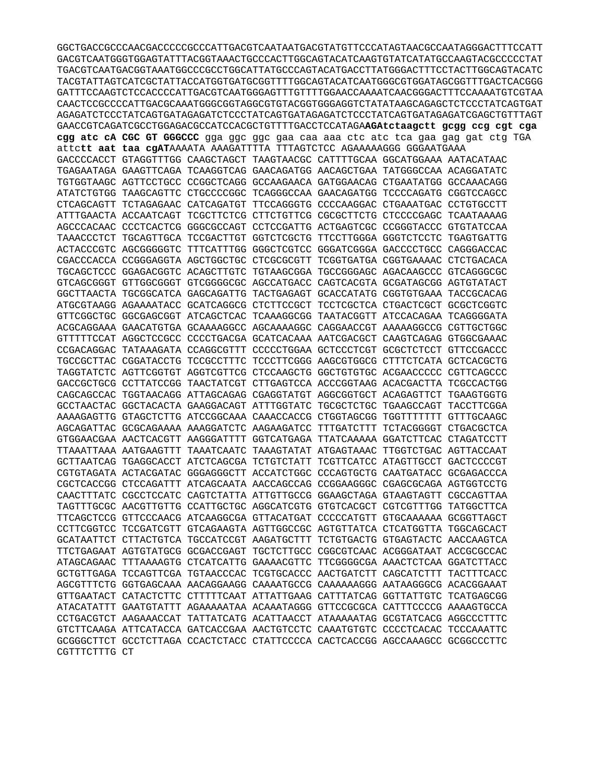GGCTGACCGCCCAACGACCCCCGCCCATTGACGTCAATAATGACGTATGTTCCCATAGTAACGCCAATAGGGACTTTCCATT GACGTCAATGGGTGGAGTATTTACGGTAAACTGCCCACTTGGCAGTACATCAAGTGTATCATATGCCAAGTACGCCCCCTAT TGACGTCAATGACGGTAAATGGCCCGCCTGGCATTATGCCCAGTACATGACCTTATGGGACTTTCCTACTTGGCAGTACATC TACGTATTAGTCATCGCTATTACCATGGTGATGCGGTTTTGGCAGTACATCAATGGGCGTGGATAGCGGTTTGACTCACGGG CAACTCCGCCCCATTGACGCAAATGGGCGGTAGGCGTGTACGGTGGAGGTCTATATAAGCAGAGCTCTCCCTATCAGTGAT AGAGATCTCCCTATCAGTGATAGAGATCTCCCTATCAGTGATAGAGATCTCCCTATCAGTGATAGAGATCTCCTATCAGTGTTTAGT GAACCGTCAGATCGCCTGGAGACGCCATCCACGCTGTTTTGACCTCCATAGAAGAtctaagctt gcgg ccg cgt cga cgg atc cA CGC GT GGGCCC gga ggc ggc gaa caa aaa ctc atc tca gaa gag gat ctg TGA attctt aat taa cgATAAAATA AAAGATTTTA TTTAGTCTCC AGAAAAAGGG GGGAATGAAA GACCCCACCT GTAGGTTTGG CAAGCTAGCT TAAGTAACGC CATTTTGCAA GGCATGGAAA AATACATAAC TGAGAATAGA GAAGTTCAGA TCAAGGTCAG GAACAGATGG AACAGCTGAA TATGGGCCAA ACAGGATATC TGTGGTAAGC AGTTCCTGCC CCGGCTCAGG GCCAAGAACA GATGGAACAG CTGAATATGG GCCAAACAGG ATATCTGTGG TAAGCAGTTC CTGCCCCGGC TCAGGGCCAA GAACAGATGG TCCCCAGATG CGGTCCAGCC CTCAGCAGTT TCTAGAGAAC CATCAGATGT TTCCAGGGTG CCCCAAGGAC CTGAAATGAC CCTGTGCCTT ATTTGAACTA ACCAATCAGT TCGCTTCTCG CTTCTGTTCG CGCGCTTCTG CTCCCCGAGC TCAATAAAAG AGCCCACAAC CCCTCACTCG GGGCGCCAGT CCTCCGATTG ACTGAGTCGC CCGGGTACCC GTGTATCCAA TAAACCCTCT TGCAGTTGCA TCCGACTTGT GGTCTCGCTG TTCCTTGGGA GGGTCTCCTC TGAGTGATTG ACTACCCGTC AGCGGGGGTC TTTCATTTGG GGGCTCGTCC GGGATCGGGA GACCCCTGCC CAGGGACCAC CGACCCACCA CCGGGAGGTA AGCTGGCTGC CTCGCGCGTT TCGGTGATGA CGGTGAAAAC CTCTGACACA TGCAGCTCCC GGAGACGGTC ACAGCTTGTC TGTAAGCGGA TGCCGGGAGC AGACAAGCCC GTCAGGGCGC GTCAGCGGGT GTTGGCGGGT GTCGGGGCGC AGCCATGACC CAGTCACGTA GCGATAGCGG AGTGTATACT GGCTTAACTA TGCGGCATCA GAGCAGATTG TACTGAGAGT GCACCATATG CGGTGTGAAA TACCGCACAG ATGCGTAAGG AGAAAATACC GCATCAGGCG CTCTTCCGCT TCCTCGCTCA CTGACTCGCT GCGCTCGGTC GTTCGGCTGC GGCGAGCGGT ATCAGCTCAC TCAAAGGCGG TAATACGGTT ATCCACAGAA TCAGGGGATA ACGCAGGAAA GAACATGTGA GCAAAAGGCC AGCAAAAGGC CAGGAACCGT AAAAAGGCCG CGTTGCTGGC GTTTTTCCAT AGGCTCCGCC CCCCTGACGA GCATCACAAA AATCGACGCT CAAGTCAGAG GTGGCGAAAC CCGACAGGAC TATAAAGATA CCAGGCGTTT CCCCCTGGAA GCTCCCTCGT GCGCTCTCCT GTTCCGACCC TGCCGCTTAC CGGATACCTG TCCGCCTTTC TCCCTTCGGG AAGCGTGGCG CTTTCTCATA GCTCACGCTG TAGGTATCTC AGTTCGGTGT AGGTCGTTCG CTCCAAGCTG GGCTGTGTGC ACGAACCCCC CGTTCAGCCC GACCGCTGCG CCTTATCCGG TAACTATCGT CTTGAGTCCA ACCCGGTAAG ACACGACTTA TCGCCACTGG CAGCAGCCAC TGGTAACAGG ATTAGCAGAG CGAGGTATGT AGGCGGTGCT ACAGAGTTCT TGAAGTGGTG GCCTAACTAC GGCTACACTA GAAGGACAGT ATTTGGTATC TGCGCTCTGC TGAAGCCAGT TACCTTCGGA AAAGAGTTG GTAGCTCTTG ATCCGGCAAA CAAACCACCG CTGGTAGCGG TGGTTTTTTT GTTTGCAAGC AGCAGATTAC GCGCAGAAAA AAAGGATCTC AAGAAGATCC TTTGATCTTT TCTACGGGGT CTGACGCTCA GTGGAACGAA AACTCACGTT AAGGGATTTT GGTCATGAGA TTATCAAAAA GGATCTTCAC CTAGATCCTT TTAAATTAAA AATGAAGTTT TAAATCAATC TAAAGTATAT ATGAGTAAAC TTGGTCTGAC AGTTACCAAT GCTTAATCAG TGAGGCACCT ATCTCAGCGA TCTGTCTATT TCGTTCATCC ATAGTTGCCT GACTCCCCGT CGTGTAGATA ACTACGATAC GGGAGGGCTT ACCATCTGGC CCCAGTGCTG CAATGATACC GCGAGACCCA CGCTCACCGG CTCCAGATTT ATCAGCAATA AACCAGCCAG CCGGAAGGGC CGAGCGCAGA AGTGGTCCTG CAACTTTATC CGCCTCCATC CAGTCTATTA ATTGTTGCCG GGAAGCTAGA GTAAGTAGTT CGCCAGTTAA TAGTTTGCGC AACGTTGTTG CCATTGCTGC AGGCATCGTG GTGTCACGCT CGTCGTTTGG TATGGCTTCA TTCAGCTCCG GTTCCCAACG ATCAAGGCGA GTTACATGAT CCCCCATGTT GTGCAAAAAA GCGGTTAGCT CCTTCGGTCC TCCGATCGTT GTCAGAAGTA AGTTGGCCGC AGTGTTATCA CTCATGGTTA TGGCAGCACT GCATAATTCT CTTACTGTCA TGCCATCCGT AAGATGCTTT TCTGTGACTG GTGAGTACTC AACCAAGTCA TTCTGAGAAT AGTGTATGCG GCGACCGAGT TGCTCTTGCC CGGCGTCAAC ACGGGATAAT ACCGCGCCAC ATAGCAGAAC TTTAAAAGTG CTCATCATTG GAAAACGTTC TTCGGGGCGA AAACTCTCAA GGATCTTACC GCTGTTGAGA TCCAGTTCGA TGTAACCCAC TCGTGCACCC AACTGATCTT CAGCATCTTT TACTTTCACC AGCGTTTCTG GGTGAGCAAA AACAGGAAGG CAAAATGCCG CAAAAAAGGG AATAAGGGCG ACACGGAAAT GTTGAATACT CATACTCTTC CTTTTTCAAT ATTATTGAAG CATTTATCAG GGTTATTGTC TCATGAGCGG ATACATATTT GAATGTATTT AGAAAAATAA ACAAATAGGG GTTCCGCGCA CATTTCCCCG AAAAGTGCCA CCTGACGTCT AAGAAACCAT TATTATCATG ACATTAACCT ATAAAAATAG GCGTATCACG AGGCCCTTTC GTCTTCAAGA ATTCATACCA GATCACCGAA AACTGTCCTC CAAATGTGTC CCCCTCACAC TCCCAAATTC GCGGGCTTCT GCCTCTTAGA CCACTCTACC CTATTCCCCA CACTCACCGG AGCCAAAGCC GCGGCCCTTC CGTTTCTTTG CT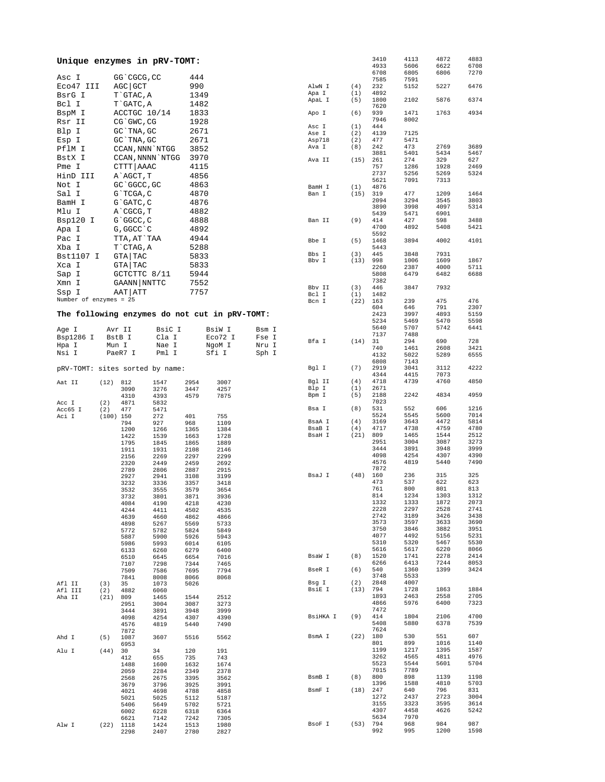| Unique enzymes in pRV-TOMT:                   |             |                  |              |              |              |       |                  |             | 3410<br>4933 | 4113<br>5606 | 4872<br>6622 | 4883<br>6708 |
|-----------------------------------------------|-------------|------------------|--------------|--------------|--------------|-------|------------------|-------------|--------------|--------------|--------------|--------------|
| Asc I                                         |             | GG`CGCG, CC      |              | 444          |              |       |                  |             | 6708         | 6805         | 6806         | 7270         |
| Eco47 III                                     |             | AGC GCT          |              | 990          |              |       | AlwN I           | (4)         | 7585<br>232  | 7591<br>5152 | 5227         | 6476         |
| BsrG I                                        |             | T`GTAC, A        |              | 1349         |              |       | Apa I            | (1)         | 4892         |              |              |              |
|                                               |             |                  |              |              |              |       | ApaL I           | (5)         | 1800         | 2102         | 5876         | 6374         |
| Bcl I                                         |             | T`GATC, A        |              | 1482         |              |       |                  |             | 7620         |              |              |              |
| BspM I                                        |             | ACCTGC 10/14     |              | 1833         |              |       | Apo I            | (6)         | 939<br>7946  | 1471<br>8002 | 1763         | 4934         |
| Rsr II                                        |             | CG`GWC, CG       |              | 1928         |              |       | Asc I            | (1)         | 444          |              |              |              |
| Blp I                                         |             | GC `TNA, GC      |              | 2671         |              |       | Ase I            | (2)         | 4139         | 7125         |              |              |
| Esp I                                         |             | GC `TNA, GC      |              | 2671         |              |       | Asp718           | (2)         | 477          | 5471         |              |              |
| PflM I                                        |             | CCAN, NNN `NTGG  |              | 3852         |              |       | Ava I            | (8)         | 242          | 473          | 2769         | 3689         |
| BstX I                                        |             | CCAN, NNNN `NTGG |              | 3970         |              |       | Ava II           | (15)        | 3881<br>261  | 5401<br>274  | 5434<br>329  | 5467<br>627  |
| Pme I                                         |             | CTTT AAAC        |              | 4115         |              |       |                  |             | 757          | 1286         | 1928         | 2469         |
| HinD III                                      |             | A`AGCT, T        |              | 4856         |              |       |                  |             | 2737         | 5256         | 5269         | 5324         |
| Not I                                         |             | GC `GGCC, GC     |              | 4863         |              |       | BamH I           |             | 5621<br>4876 | 7091         | 7313         |              |
| Sal I                                         |             | G`TCGA, C        |              | 4870         |              |       | Ban I            | (1)<br>(15) | 319          | 477          | 1209         | 1464         |
| BamH I                                        |             | G`GATC, C        |              | 4876         |              |       |                  |             | 2094         | 3294         | 3545         | 3803         |
| Mlu I                                         |             | A`CGCG, T        |              | 4882         |              |       |                  |             | 3890         | 3998         | 4097         | 5314         |
|                                               |             |                  |              |              |              |       |                  |             | 5439         | 5471         | 6901         |              |
| Bsp120 I                                      |             | G`GGCC, C        |              | 4888         |              |       | Ban II           | (9)         | 414<br>4700  | 427<br>4892  | 598<br>5408  | 3488<br>5421 |
| Apa I                                         |             | G, GGCC `C       |              | 4892         |              |       |                  |             | 5592         |              |              |              |
| Pac I                                         |             | TTA, AT`TAA      |              | 4944         |              |       | Bbe I            | (5)         | 1468         | 3894         | 4002         | 4101         |
| Xba I                                         |             | T`CTAG, A        |              | 5288         |              |       |                  |             | 5443         |              |              |              |
| Bst1107 I                                     |             | GTA TAC          |              | 5833         |              |       | Bbs I<br>Bbv I   | (3)<br>(13) | 445<br>998   | 3848<br>1006 | 7931<br>1609 | 1867         |
| Xca I                                         |             | GTA   TAC        |              | 5833         |              |       |                  |             | 2260         | 2387         | 4000         | 5711         |
| Sap I                                         |             | GCTCTTC 8/11     |              | 5944         |              |       |                  |             | 5808         | 6479         | 6482         | 6688         |
| Xmn I                                         |             | GAANN NNTTC      |              | 7552         |              |       |                  |             | 7382         |              |              |              |
| Ssp I                                         |             | AAT   ATT        |              | 7757         |              |       | Bbv II<br>Bcl I  | (3)<br>(1)  | 446<br>1482  | 3847         | 7932         |              |
| Number of enzymes = 25                        |             |                  |              |              |              |       | Bcn I            | (22)        | 163          | 239          | 475          | 476          |
|                                               |             |                  |              |              |              |       |                  |             | 604          | 646          | 791          | 2307         |
| The following enzymes do not cut in pRV-TOMT: |             |                  |              |              |              |       |                  |             | 2423         | 3997         | 4893         | 5159         |
|                                               |             |                  |              |              |              |       |                  |             | 5234         | 5469         | 5470         | 5598         |
| Age I                                         | Avr II      |                  | BsiC I       |              | BsiW I       | Bsm I |                  |             | 5640<br>7137 | 5707<br>7488 | 5742         | 6441         |
| Bsp1286 I                                     |             | BstB I           | Cla I        |              | Eco72 I      | Fse I | Bfa I            | (14)        | 31           | 294          | 690          | 728          |
| Hpa I                                         | Mun I       |                  | Nae I        |              | NgoM I       | Nru I |                  |             | 740          | 1461         | 2608         | 3421         |
| Nsi I                                         |             | PaeR7 I          | Pml I        |              | Sfi I        | Sph I |                  |             | 4132         | 5022         | 5289         | 6555         |
| pRV-TOMT: sites sorted by name:               |             |                  |              |              |              |       | Bgl I            | (7)         | 6808<br>2919 | 7143<br>3041 | 3112         | 4222         |
|                                               |             |                  |              |              |              |       |                  |             | 4344         | 4415         | 7073         |              |
| Aat II                                        | (12) 812    |                  | 1547         | 2954         | 3007         |       | Bgl II           | (4)         | 4718         | 4739         | 4760         | 4850         |
|                                               |             | 3090             | 3276         | 3447         | 4257         |       | Blp I            | (1)         | 2671         |              |              |              |
|                                               |             | 4310<br>4871     | 4393         | 4579         | 7875         |       | Bpm I            | (5)         | 2188<br>7023 | 2242         | 4834         | 4959         |
| Acc I<br>Acc65 I                              | (2)<br>(2)  | 477              | 5832<br>5471 |              |              |       | Bsa I            | (8)         | 531          | 552          | 606          | 1216         |
| Aci I                                         | $(100)$ 150 |                  | 272          | 401          | 755          |       |                  |             | 5524         | 5545         | 5600         | 7014         |
|                                               |             | 794              | 927          | 968          | 1109         |       | BsaA I           | (4)         | 3169         | 3643         | 4472         | 5814         |
|                                               |             | 1200             | 1266         | 1365         | 1384         |       | BsaB I<br>BsaH I | (4)<br>(21) | 4717<br>809  | 4738<br>1465 | 4759<br>1544 | 4780<br>2512 |
|                                               |             | 1422<br>1795     | 1539<br>1845 | 1663<br>1865 | 1728<br>1889 |       |                  |             | 2951         | 3004         | 3087         | 3273         |
|                                               |             | 1911             | 1931         | 2108         | 2146         |       |                  |             | 3444         | 3891         | 3948         | 3999         |
|                                               |             | 2156             | 2269         | 2297         | 2299         |       |                  |             | 4098         | 4254         | 4307         | 4390         |
|                                               |             | 2320             | 2449         | 2459         | 2692         |       |                  |             | 4576<br>7872 | 4819         | 5440         | 7490         |
|                                               |             | 2789<br>2927     | 2806<br>2941 | 2887<br>3108 | 2915<br>3199 |       | BsaJ I           | (48)        | 160          | 236          | 315          | 325          |
|                                               |             | 3232             | 3336         | 3357         | 3418         |       |                  |             | 473          | 537          | 622          | 623          |
|                                               |             | 3532             | 3555         | 3579         | 3654         |       |                  |             | 761          | 800          | 801          | 813          |
|                                               |             | 3732             | 3801         | 3871         | 3936         |       |                  |             | 814<br>1332  | 1234<br>1333 | 1303<br>1872 | 1312<br>2073 |
|                                               |             | 4084<br>4244     | 4190<br>4411 | 4218<br>4502 | 4230<br>4535 |       |                  |             | 2228         | 2297         | 2528         | 2741         |
|                                               |             | 4639             | 4660         | 4862         | 4866         |       |                  |             | 2742         | 3189         | 3426         | 3438         |
|                                               |             | 4898             | 5267         | 5569         | 5733         |       |                  |             | 3573         | 3597         | 3633         | 3690         |
|                                               |             | 5772             | 5782         | 5824         | 5849         |       |                  |             | 3750<br>4077 | 3846<br>4492 | 3882         | 3951<br>5231 |
|                                               |             | 5887<br>5986     | 5900<br>5993 | 5926<br>6014 | 5943<br>6105 |       |                  |             | 5310         | 5320         | 5156<br>5467 | 5530         |
|                                               |             | 6133             | 6260         | 6279         | 6400         |       |                  |             | 5616         | 5617         | 6220         | 8066         |
|                                               |             | 6510             | 6645         | 6654         | 7016         |       | BsaW I           | (8)         | 1520         | 1741         | 2278         | 2414         |
|                                               |             | 7107             | 7298         | 7344         | 7465         |       | BseR I           |             | 6266<br>540  | 6413         | 7244<br>1399 | 8053<br>3424 |
|                                               |             | 7509<br>7841     | 7586<br>8008 | 7695<br>8066 | 7794<br>8068 |       |                  | (6)         | 3748         | 1360<br>5533 |              |              |
| Afl II                                        | (3)         | 35               | 1073         | 5026         |              |       | Bsg I            | (2)         | 2848         | 4007         |              |              |
| Afl III                                       | (2)         | 4882             | 6060         |              |              |       | BsiE I           | (13)        | 794          | 1728         | 1863         | 1884         |
| Aha II                                        | (21)        | 809              | 1465         | 1544         | 2512         |       |                  |             | 1893         | 2463         | 2558         | 2705         |
|                                               |             | 2951<br>3444     | 3004<br>3891 | 3087<br>3948 | 3273<br>3999 |       |                  |             | 4866<br>7472 | 5976         | 6400         | 7323         |
|                                               |             | 4098             | 4254         | 4307         | 4390         |       | BsiHKA I         | (9)         | 414          | 1804         | 2106         | 4700         |
|                                               |             | 4576             | 4819         | 5440         | 7490         |       |                  |             | 5408         | 5880         | 6378         | 7539         |
|                                               |             | 7872             |              |              |              |       |                  |             | 7624         |              |              |              |
| Ahd I                                         | (5)         | 1087<br>6953     | 3607         | 5516         | 5562         |       | BsmA I           | (22)        | 180<br>801   | 530<br>899   | 551<br>1016  | 607<br>1140  |
| Alu I                                         | (44)        | 30               | 34           | 120          | 191          |       |                  |             | 1199         | 1217         | 1395         | 1587         |
|                                               |             | 412              | 655          | 735          | 743          |       |                  |             | 3262         | 4565         | 4811         | 4976         |
|                                               |             | 1488             | 1600         | 1632         | 1674         |       |                  |             | 5523         | 5544         | 5601         | 5704         |
|                                               |             | 2059<br>2568     | 2284<br>2675 | 2349<br>3395 | 2378         |       | BsmB I           | (8)         | 7015<br>800  | 7789<br>898  | 1139         | 1198         |
|                                               |             | 3679             | 3796         | 3925         | 3562<br>3991 |       |                  |             | 1396         | 1588         | 4810         | 5703         |
|                                               |             | 4021             | 4698         | 4788         | 4858         |       | BsmF I           | (18)        | 247          | 640          | 796          | 831          |
|                                               |             | 5021             | 5025         | 5112         | 5187         |       |                  |             | 1272         | 2437         | 2723         | 3004         |
|                                               |             | 5406<br>6002     | 5649<br>6228 | 5702<br>6318 | 5721<br>6364 |       |                  |             | 3155<br>4307 | 3323<br>4458 | 3595<br>4626 | 3614<br>5242 |
|                                               |             | 6621             | 7142         | 7242         | 7305         |       |                  |             | 5634         | 7970         |              |              |
| Alw I                                         | (22)        | 1118             | 1424         | 1513         | 1980         |       | BsoF I           | (53)        | 794          | 968          | 984          | 987          |
|                                               |             | 2298             | 2407         | 2780         | 2827         |       |                  |             | 992          | 995          | 1200         | 1598         |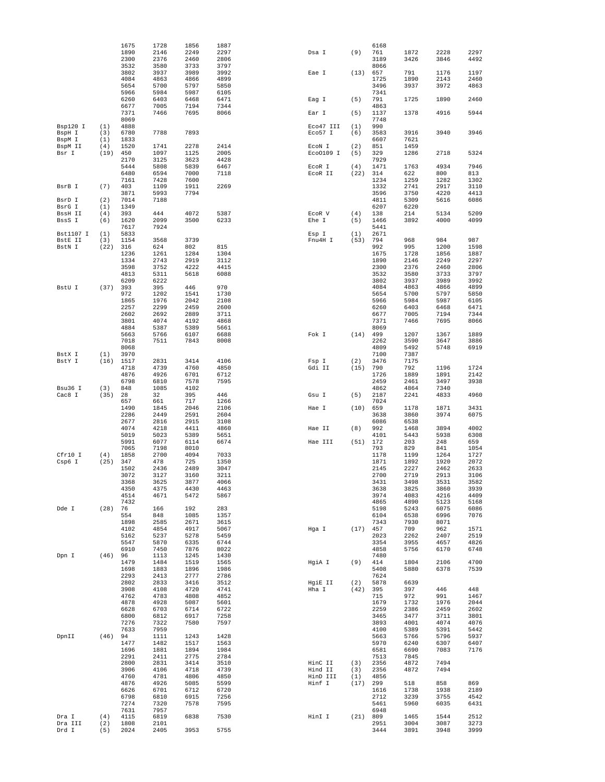|                  |            | 1675         | 1728         | 1856         | 1887         |           |      | 6168         |              |              |              |
|------------------|------------|--------------|--------------|--------------|--------------|-----------|------|--------------|--------------|--------------|--------------|
|                  |            | 1890         | 2146         | 2249         | 2297         | Dsa I     | (9)  | 761          | 1872         | 2228         | 2297         |
|                  |            | 2300         | 2376         | 2460         | 2806         |           |      | 3189         | 3426         | 3846         | 4492         |
|                  |            | 3532         | 3580         | 3733         | 3797         |           |      | 8066         |              |              |              |
|                  |            | 3802         | 3937         | 3989         | 3992         | Eae I     | (13) | 657          | 791          | 1176         | 1197         |
|                  |            | 4084<br>5654 | 4863<br>5700 | 4866<br>5797 | 4899<br>5850 |           |      | 1725<br>3496 | 1890<br>3937 | 2143<br>3972 | 2460<br>4863 |
|                  |            | 5966         | 5984         | 5987         | 6105         |           |      | 7341         |              |              |              |
|                  |            | 6260         | 6403         | 6468         | 6471         | Eag I     | (5)  | 791          | 1725         | 1890         | 2460         |
|                  |            | 6677         | 7005         | 7194         | 7344         |           |      | 4863         |              |              |              |
|                  |            | 7371         | 7466         | 7695         | 8066         | Ear I     | (5)  | 1137         | 1378         | 4916         | 5944         |
|                  |            | 8069         |              |              |              |           |      | 7748         |              |              |              |
| Bsp120 I         | (1)        | 4888         |              |              |              | Eco47 III | (1)  | 990          |              |              |              |
| BspH I           | (3)        | 6780         | 7788         | 7893         |              | Eco57 I   | (6)  | 3583         | 3916         | 3940         | 3946         |
| BspM I           | (1)        | 1833         |              |              |              |           |      | 6607         | 7621         |              |              |
| BspM II          | (4)        | 1520         | 1741         | 2278         | 2414         | ECON I    | (2)  | 851          | 1459         |              |              |
| Bsr I            | (19)       | 450          | 1097         | 1125         | 2005         | Eco0109 I | (5)  | 329          | 1286         | 2718         | 5324         |
|                  |            | 2170<br>5444 | 3125<br>5808 | 3623<br>5839 | 4428<br>6467 | EcoR I    | (4)  | 7929<br>1471 | 1763         | 4934         | 7946         |
|                  |            | 6480         | 6594         | 7000         | 7118         | ECOR II   | (22) | 314          | 622          | 800          | 813          |
|                  |            | 7161         | 7428         | 7600         |              |           |      | 1234         | 1259         | 1282         | 1302         |
| BsrB I           | (7)        | 403          | 1109         | 1911         | 2269         |           |      | 1332         | 2741         | 2917         | 3110         |
|                  |            | 3871         | 5993         | 7794         |              |           |      | 3596         | 3750         | 4220         | 4413         |
| BsrD I           | (2)        | 7014         | 7188         |              |              |           |      | 4811         | 5309         | 5616         | 6086         |
| BsrG I           | (1)        | 1349         |              |              |              |           |      | 6207         | 6220         |              |              |
| BssH II          | (4)        | 393          | 444          | 4072         | 5387         | ECOR V    | (4)  | 138          | 214          | 5134         | 5209         |
| BssS I           | (6)        | 1620         | 2099         | 3500         | 6233         | Ehe I     | (5)  | 1466         | 3892         | 4000         | 4099         |
| Bst1107 I        | (1)        | 7617<br>5833 | 7924         |              |              | Esp I     | (1)  | 5441<br>2671 |              |              |              |
| BstE II          | (3)        | 1154         | 3568         | 3739         |              | Fnu4H I   | (53) | 794          | 968          | 984          | 987          |
| BstN I           | (22)       | 316          | 624          | 802          | 815          |           |      | 992          | 995          | 1200         | 1598         |
|                  |            | 1236         | 1261         | 1284         | 1304         |           |      | 1675         | 1728         | 1856         | 1887         |
|                  |            | 1334         | 2743         | 2919         | 3112         |           |      | 1890         | 2146         | 2249         | 2297         |
|                  |            | 3598         | 3752         | 4222         | 4415         |           |      | 2300         | 2376         | 2460         | 2806         |
|                  |            | 4813         | 5311         | 5618         | 6088         |           |      | 3532         | 3580         | 3733         | 3797         |
|                  |            | 6209         | 6222         |              |              |           |      | 3802         | 3937         | 3989         | 3992         |
| BstU I           | (37)       | 393          | 395          | 446          | 970          |           |      | 4084         | 4863         | 4866         | 4899         |
|                  |            | 972          | 1202         | 1541         | 1730         |           |      | 5654         | 5700         | 5797         | 5850         |
|                  |            | 1865<br>2257 | 1976<br>2299 | 2042<br>2459 | 2108<br>2600 |           |      | 5966<br>6260 | 5984<br>6403 | 5987<br>6468 | 6105<br>6471 |
|                  |            | 2602         | 2692         | 2889         | 3711         |           |      | 6677         | 7005         | 7194         | 7344         |
|                  |            | 3801         | 4074         | 4192         | 4868         |           |      | 7371         | 7466         | 7695         | 8066         |
|                  |            | 4884         | 5387         | 5389         | 5661         |           |      | 8069         |              |              |              |
|                  |            | 5663         | 5766         | 6107         | 6688         | Fok I     | (14) | 499          | 1207         | 1367         | 1889         |
|                  |            | 7018         | 7511         | 7843         | 8008         |           |      | 2262         | 3590         | 3647         | 3886         |
|                  |            | 8068         |              |              |              |           |      | 4809         | 5492         | 5748         | 6919         |
| BstX I           | (1)        | 3970         |              |              |              |           |      | 7100         | 7387         |              |              |
| BstY I           | (16)       | 1517         | 2831         | 3414         | 4106         | Fsp I     | (2)  | 3476         | 7175         |              |              |
|                  |            | 4718         | 4739         | 4760         | 4850         | Gdi II    | (15) | 790          | 792          | 1196         | 1724         |
|                  |            | 4876<br>6798 | 4926<br>6810 | 6701<br>7578 | 6712<br>7595 |           |      | 1726<br>2459 | 1889<br>2461 | 1891<br>3497 | 2142<br>3938 |
| Bsu36 I          | (3)        | 848          | 1085         | 4102         |              |           |      | 4862         | 4864         | 7340         |              |
| Cac8 I           | (35)       | 28           | 32           | 395          | 446          | Gsu I     | (5)  | 2187         | 2241         | 4833         | 4960         |
|                  |            | 657          | 661          | 717          | 1266         |           |      | 7024         |              |              |              |
|                  |            | 1490         | 1845         | 2046         | 2106         | Hae I     | (10) | 659          | 1178         | 1871         | 3431         |
|                  |            | 2286         | 2449         | 2591         | 2604         |           |      | 3638         | 3860         | 3974         | 6075         |
|                  |            | 2677         | 2816         | 2915         | 3108         |           |      | 6086         | 6538         |              |              |
|                  |            | 4074         | 4218         | 4411         | 4860         | Hae II    | (8)  | 992          | 1468         | 3894         | 4002         |
|                  |            | 5019<br>5991 | 5023         | 5389         | 5651<br>6674 |           | (51) | 4101<br>172  | 5443<br>203  | 5938         | 6308         |
|                  |            | 7065         | 6077<br>7198 | 6114<br>8010 |              | Hae III   |      | 793          | 829          | 248<br>841   | 659<br>1054  |
| Cfr10 I          | (4)        | 1858         | 2700         | 4094         | 7033         |           |      | 1178         | 1199         | 1264         | 1727         |
| Csp6 I           | (25)       | 347          | 478          | 725          | 1350         |           |      | 1871         | 1892         | 1920         | 2072         |
|                  |            | 1502         | 2436         | 2489         | 3047         |           |      | 2145         | 2227         | 2462         | 2633         |
|                  |            | 3072         | 3127         | 3160         | 3211         |           |      | 2700         | 2719         | 2913         | 3106         |
|                  |            | 3368         | 3625         | 3877         | 4066         |           |      | 3431         | 3498         | 3531         | 3582         |
|                  |            | 4350         | 4375         | 4430         | 4463         |           |      | 3638         | 3825         | 3860         | 3939         |
|                  |            | 4514         | 4671         | 5472         | 5867         |           |      | 3974         | 4083         | 4216         | 4409         |
|                  |            | 7432         |              |              |              |           |      | 4865         | 4890         | 5123         | 5168         |
| Dde I            | (28)       | 76<br>554    | 166<br>848   | 192<br>1085  | 283<br>1357  |           |      | 5198<br>6104 | 5243<br>6538 | 6075<br>6996 | 6086<br>7076 |
|                  |            | 1898         | 2585         | 2671         | 3615         |           |      | 7343         | 7930         | 8071         |              |
|                  |            | 4102         | 4854         | 4917         | 5067         | Hga I     | (17) | 457          | 709          | 962          | 1571         |
|                  |            | 5162         | 5237         | 5278         | 5459         |           |      | 2023         | 2262         | 2407         | 2519         |
|                  |            | 5547         | 5870         | 6335         | 6744         |           |      | 3354         | 3955         | 4657         | 4826         |
|                  |            | 6910         | 7450         | 7876         | 8022         |           |      | 4858         | 5756         | 6170         | 6748         |
| Dpn I            | (46)       | 96           | 1113         | 1245         | 1430         |           |      | 7480         |              |              |              |
|                  |            | 1479         | 1484         | 1519         | 1565         | HgiA I    | (9)  | 414          | 1804         | 2106         | 4700         |
|                  |            | 1698         | 1883         | 1896         | 1986         |           |      | 5408         | 5880         | 6378         | 7539         |
|                  |            | 2293<br>2802 | 2413<br>2833 | 2777<br>3416 | 2786<br>3512 | HgiE II   | (2)  | 7624<br>5878 | 6639         |              |              |
|                  |            | 3908         | 4108         | 4720         | 4741         | Hha I     | (42) | 395          | 397          | 446          | 448          |
|                  |            | 4762         | 4783         | 4808         | 4852         |           |      | 715          | 972          | 991          | 1467         |
|                  |            | 4878         | 4928         | 5087         | 5601         |           |      | 1679         | 1732         | 1976         | 2044         |
|                  |            | 6628         | 6703         | 6714         | 6722         |           |      | 2259         | 2386         | 2459         | 2602         |
|                  |            | 6800         | 6812         | 6917         | 7258         |           |      | 3465         | 3477         | 3711         | 3801         |
|                  |            | 7276         | 7322         | 7580         | 7597         |           |      | 3893         | 4001         | 4074         | 4076         |
|                  |            | 7633         | 7959         |              |              |           |      | 4100         | 5389         | 5391         | 5442         |
| DpnII            | (46)       | 94           | 1111         | 1243         | 1428         |           |      | 5663         | 5766         | 5796         | 5937         |
|                  |            | 1477         | 1482         | 1517         | 1563         |           |      | 5970         | 6240         | 6307         | 6407         |
|                  |            | 1696<br>2291 | 1881<br>2411 | 1894<br>2775 | 1984<br>2784 |           |      | 6581<br>7513 | 6690<br>7845 | 7083         | 7176         |
|                  |            | 2800         | 2831         | 3414         | 3510         | HinC II   | (3)  | 2356         | 4872         | 7494         |              |
|                  |            | 3906         | 4106         | 4718         | 4739         | Hind II   | (3)  | 2356         | 4872         | 7494         |              |
|                  |            | 4760         | 4781         | 4806         | 4850         | HinD III  | (1)  | 4856         |              |              |              |
|                  |            | 4876         | 4926         | 5085         | 5599         | Hinf I    | (17) | 299          | 518          | 858          | 869          |
|                  |            | 6626         | 6701         | 6712         | 6720         |           |      | 1616         | 1738         | 1938         | 2189         |
|                  |            | 6798         | 6810         | 6915         | 7256         |           |      | 2712         | 3239         | 3755         | 4542         |
|                  |            | 7274         | 7320         | 7578         | 7595         |           |      | 5461         | 5960         | 6035         | 6431         |
|                  |            | 7631         | 7957         |              |              |           |      | 6948         |              |              |              |
| Dra I<br>Dra III | (4)        | 4115<br>1808 | 6819<br>2101 | 6838         | 7530         | HinI I    | (21) | 809<br>2951  | 1465<br>3004 | 1544<br>3087 | 2512<br>3273 |
|                  | (2)<br>(5) | 2024         | 2405         | 3953         | 5755         |           |      | 3444         | 3891         |              | 3999         |
| Drd I            |            |              |              |              |              |           |      |              |              | 3948         |              |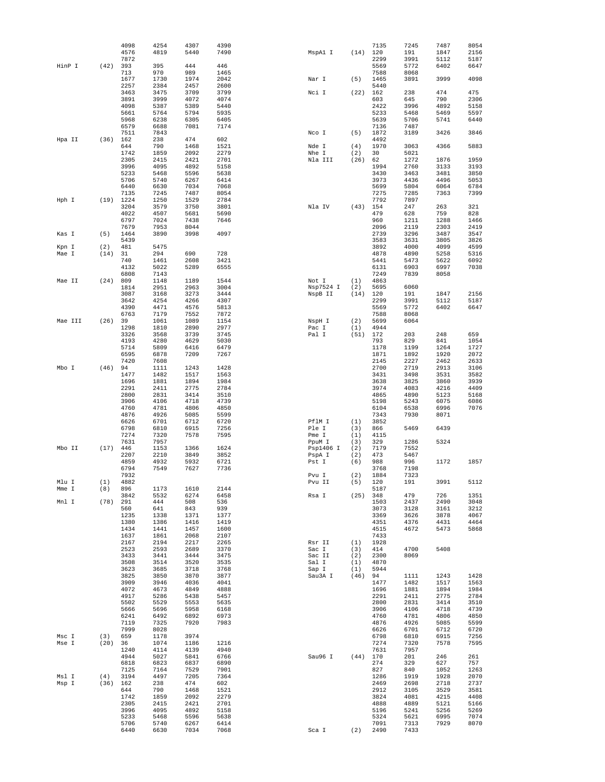|         |      | 4098         | 4254         | 4307         | 4390         |                 |            | 7135         | 7245         | 7487         | 8054         |
|---------|------|--------------|--------------|--------------|--------------|-----------------|------------|--------------|--------------|--------------|--------------|
|         |      | 4576         | 4819         | 5440         | 7490         | MspA1 I         | (14)       | 120          | 191          | 1847         | 2156         |
| HinP I  | (42) | 7872<br>393  | 395          | 444          | 446          |                 |            | 2299<br>5569 | 3991<br>5772 | 5112<br>6402 | 5187<br>6647 |
|         |      | 713          | 970          | 989          | 1465         |                 |            | 7588         | 8068         |              |              |
|         |      | 1677         | 1730         | 1974         | 2042         | Nar I           | (5)        | 1465         | 3891         | 3999         | 4098         |
|         |      | 2257         | 2384         | 2457         | 2600         |                 |            | 5440         |              |              |              |
|         |      | 3463         | 3475         | 3709         | 3799         | Nci I           | (22)       | 162          | 238          | 474          | 475          |
|         |      | 3891         | 3999         | 4072         | 4074<br>5440 |                 |            | 603<br>2422  | 645          | 790<br>4892  | 2306<br>5158 |
|         |      | 4098<br>5661 | 5387<br>5764 | 5389<br>5794 | 5935         |                 |            | 5233         | 3996<br>5468 | 5469         | 5597         |
|         |      | 5968         | 6238         | 6305         | 6405         |                 |            | 5639         | 5706         | 5741         | 6440         |
|         |      | 6579         | 6688         | 7081         | 7174         |                 |            | 7136         | 7487         |              |              |
|         |      | 7511         | 7843         |              |              | Nco I           | (5)        | 1872         | 3189         | 3426         | 3846         |
| Hpa II  | (36) | 162          | 238          | 474          | 602          |                 |            | 4492         |              |              |              |
|         |      | 644<br>1742  | 790<br>1859  | 1468<br>2092 | 1521<br>2279 | Nde I<br>Nhe I  | (4)<br>(2) | 1970<br>30   | 3063<br>5021 | 4366         | 5883         |
|         |      | 2305         | 2415         | 2421         | 2701         | Nla III         | (26)       | 62           | 1272         | 1876         | 1959         |
|         |      | 3996         | 4095         | 4892         | 5158         |                 |            | 1994         | 2760         | 3133         | 3193         |
|         |      | 5233         | 5468         | 5596         | 5638         |                 |            | 3430         | 3463         | 3481         | 3850         |
|         |      | 5706         | 5740         | 6267         | 6414         |                 |            | 3973         | 4436         | 4496         | 5053         |
|         |      | 6440<br>7135 | 6630<br>7245 | 7034<br>7487 | 7068<br>8054 |                 |            | 5699<br>7275 | 5804<br>7285 | 6064<br>7363 | 6784<br>7399 |
| Hph I   | (19) | 1224         | 1250         | 1529         | 2784         |                 |            | 7792         | 7897         |              |              |
|         |      | 3204         | 3579         | 3750         | 3801         | Nla IV          | (43)       | 154          | 247          | 263          | 321          |
|         |      | 4022         | 4507         | 5681         | 5690         |                 |            | 479          | 628          | 759          | 828          |
|         |      | 6797         | 7024         | 7438         | 7646         |                 |            | 960          | 1211         | 1288         | 1466         |
| Kas I   | (5)  | 7679<br>1464 | 7953<br>3890 | 8044<br>3998 | 4097         |                 |            | 2096<br>2739 | 2119<br>3296 | 2303<br>3487 | 2419<br>3547 |
|         |      | 5439         |              |              |              |                 |            | 3583         | 3631         | 3805         | 3826         |
| Kpn I   | (2)  | 481          | 5475         |              |              |                 |            | 3892         | 4000         | 4099         | 4599         |
| Mae I   | (14) | 31           | 294          | 690          | 728          |                 |            | 4878         | 4890         | 5258         | 5316         |
|         |      | 740          | 1461         | 2608         | 3421         |                 |            | 5441         | 5473         | 5622         | 6092         |
|         |      | 4132<br>6808 | 5022<br>7143 | 5289         | 6555         |                 |            | 6131<br>7249 | 6903<br>7839 | 6997<br>8058 | 7038         |
| Mae II  | (24) | 809          | 1148         | 1189         | 1544         | Not I           | (1)        | 4863         |              |              |              |
|         |      | 1814         | 2951         | 2963         | 3004         | Nsp7524 I       | (2)        | 5695         | 6060         |              |              |
|         |      | 3087         | 3168         | 3273         | 3444         | NspB II         | (14)       | 120          | 191          | 1847         | 2156         |
|         |      | 3642         | 4254         | 4266         | 4307         |                 |            | 2299         | 3991         | 5112         | 5187         |
|         |      | 4390<br>6763 | 4471<br>7179 | 4576<br>7552 | 5813<br>7872 |                 |            | 5569<br>7588 | 5772<br>8068 | 6402         | 6647         |
| Mae III | (26) | 39           | 1061         | 1089         | 1154         | NspH I          | (2)        | 5699         | 6064         |              |              |
|         |      | 1298         | 1810         | 2890         | 2977         | Pac I           | (1)        | 4944         |              |              |              |
|         |      | 3326         | 3568         | 3739         | 3745         | Pal I           | (51)       | 172          | 203          | 248          | 659          |
|         |      | 4193         | 4280         | 4629         | 5030         |                 |            | 793          | 829          | 841          | 1054         |
|         |      | 5714<br>6595 | 5809<br>6878 | 6416<br>7209 | 6479<br>7267 |                 |            | 1178<br>1871 | 1199<br>1892 | 1264<br>1920 | 1727<br>2072 |
|         |      | 7420         | 7608         |              |              |                 |            | 2145         | 2227         | 2462         | 2633         |
| Mbo I   | (46) | 94           | 1111         | 1243         | 1428         |                 |            | 2700         | 2719         | 2913         | 3106         |
|         |      | 1477         | 1482         | 1517         | 1563         |                 |            | 3431         | 3498         | 3531         | 3582         |
|         |      | 1696<br>2291 | 1881<br>2411 | 1894<br>2775 | 1984<br>2784 |                 |            | 3638<br>3974 | 3825<br>4083 | 3860<br>4216 | 3939<br>4409 |
|         |      | 2800         | 2831         | 3414         | 3510         |                 |            | 4865         | 4890         | 5123         | 5168         |
|         |      | 3906         | 4106         | 4718         | 4739         |                 |            | 5198         | 5243         | 6075         | 6086         |
|         |      | 4760         | 4781         | 4806         | 4850         |                 |            | 6104         | 6538         | 6996         | 7076         |
|         |      | 4876         | 4926         | 5085         | 5599         |                 |            | 7343         | 7930         | 8071         |              |
|         |      | 6626<br>6798 | 6701<br>6810 | 6712<br>6915 | 6720<br>7256 | PflM I<br>Ple I | (1)<br>(3) | 3852<br>866  | 5469         | 6439         |              |
|         |      | 7274         | 7320         | 7578         | 7595         | Pme I           | (1)        | 4115         |              |              |              |
|         |      | 7631         | 7957         |              |              | PpuM I          | (3)        | 329          | 1286         | 5324         |              |
| Mbo II  | (17) | 446          | 1153         | 1366         | 1624         | Psp1406 I       | (2)        | 7179         | 7552         |              |              |
|         |      | 2207         | 2210         | 3849         | 3852         | PspA I          | (2)        | 473          | 5467         |              |              |
|         |      | 4859<br>6794 | 4932<br>7549 | 5932<br>7627 | 6721<br>7736 | Pst I           | (6)        | 988<br>3768  | 996<br>7198  | 1172         | 1857         |
|         |      | 7932         |              |              |              | Pvu I           | (2)        | 1884         | 7323         |              |              |
| Mlu I   | (1)  | 4882         |              |              |              | Pvu II          | (5)        | 120          | 191          | 3991         | 5112         |
| Mme I   | (8)  | 896          | 1173         | 1610         | 2144         |                 |            | 5187         |              |              |              |
|         |      | 3842         | 5532         | 6274         | 6458         | Rsa I           | (25)       | 348          | 479          | 726          | 1351         |
| Mnl I   | (78) | 291<br>560   | 444<br>641   | 508<br>843   | 536<br>939   |                 |            | 1503<br>3073 | 2437<br>3128 | 2490<br>3161 | 3048<br>3212 |
|         |      | 1235         | 1338         | 1371         | 1377         |                 |            | 3369         | 3626         | 3878         | 4067         |
|         |      | 1380         | 1386         | 1416         | 1419         |                 |            | 4351         | 4376         | 4431         | 4464         |
|         |      | 1434         | 1441         | 1457         | 1600         |                 |            | 4515         | 4672         | 5473         | 5868         |
|         |      | 1637         | 1861         | 2068         | 2107         |                 |            | 7433         |              |              |              |
|         |      | 2167<br>2523 | 2194<br>2593 | 2217<br>2689 | 2265<br>3370 | Rsr II<br>Sac I | (1)<br>(3) | 1928<br>414  | 4700         | 5408         |              |
|         |      | 3433         | 3441         | 3444         | 3475         | Sac II          | (2)        | 2300         | 8069         |              |              |
|         |      | 3508         | 3514         | 3520         | 3535         | Sal I           | (1)        | 4870         |              |              |              |
|         |      | 3623         | 3685         | 3718         | 3768         | Sap I           | (1)        | 5944         |              |              |              |
|         |      | 3825         | 3850         | 3870         | 3877         | Sau3A I         | (46)       | 94           | 1111         | 1243         | 1428         |
|         |      | 3909<br>4072 | 3946<br>4673 | 4036<br>4849 | 4041<br>4888 |                 |            | 1477<br>1696 | 1482<br>1881 | 1517<br>1894 | 1563<br>1984 |
|         |      | 4917         | 5286         | 5438         | 5457         |                 |            | 2291         | 2411         | 2775         | 2784         |
|         |      | 5502         | 5529         | 5553         | 5635         |                 |            | 2800         | 2831         | 3414         | 3510         |
|         |      | 5666         | 5696         | 5958         | 6168         |                 |            | 3906         | 4106         | 4718         | 4739         |
|         |      | 6241         | 6492         | 6892         | 6973         |                 |            | 4760         | 4781         | 4806         | 4850         |
|         |      | 7119<br>7999 | 7325<br>8028 | 7920         | 7983         |                 |            | 4876<br>6626 | 4926<br>6701 | 5085<br>6712 | 5599<br>6720 |
| Msc I   | (3)  | 659          | 1178         | 3974         |              |                 |            | 6798         | 6810         | 6915         | 7256         |
| Mse I   | (20) | 36           | 1074         | 1186         | 1216         |                 |            | 7274         | 7320         | 7578         | 7595         |
|         |      | 1240         | 4114         | 4139         | 4940         |                 |            | 7631         | 7957         |              |              |
|         |      | 4944<br>6818 | 5027<br>6823 | 5841<br>6837 | 6766<br>6890 | Sau96 I         | (44)       | 170<br>274   | 201<br>329   | 246<br>627   | 261<br>757   |
|         |      | 7125         | 7164         | 7529         | 7901         |                 |            | 827          | 840          | 1052         | 1263         |
| Msl I   | (4)  | 3194         | 4497         | 7205         | 7364         |                 |            | 1286         | 1919         | 1928         | 2070         |
| Msp I   | (36) | 162          | 238          | 474          | 602          |                 |            | 2469         | 2698         | 2718         | 2737         |
|         |      | 644          | 790          | 1468         | 1521         |                 |            | 2912         | 3105         | 3529         | 3581         |
|         |      | 1742<br>2305 | 1859<br>2415 | 2092<br>2421 | 2279<br>2701 |                 |            | 3824<br>4888 | 4081<br>4889 | 4215<br>5121 | 4408<br>5166 |
|         |      | 3996         | 4095         | 4892         | 5158         |                 |            | 5196         | 5241         | 5256         | 5269         |
|         |      | 5233         | 5468         | 5596         | 5638         |                 |            | 5324         | 5621         | 6995         | 7074         |
|         |      | 5706         | 5740         | 6267         | 6414         |                 |            | 7091         | 7313         | 7929         | 8070         |
|         |      | 6440         | 6630         | 7034         | 7068         | Sca I           | (2)        | 2490         | 7433         |              |              |